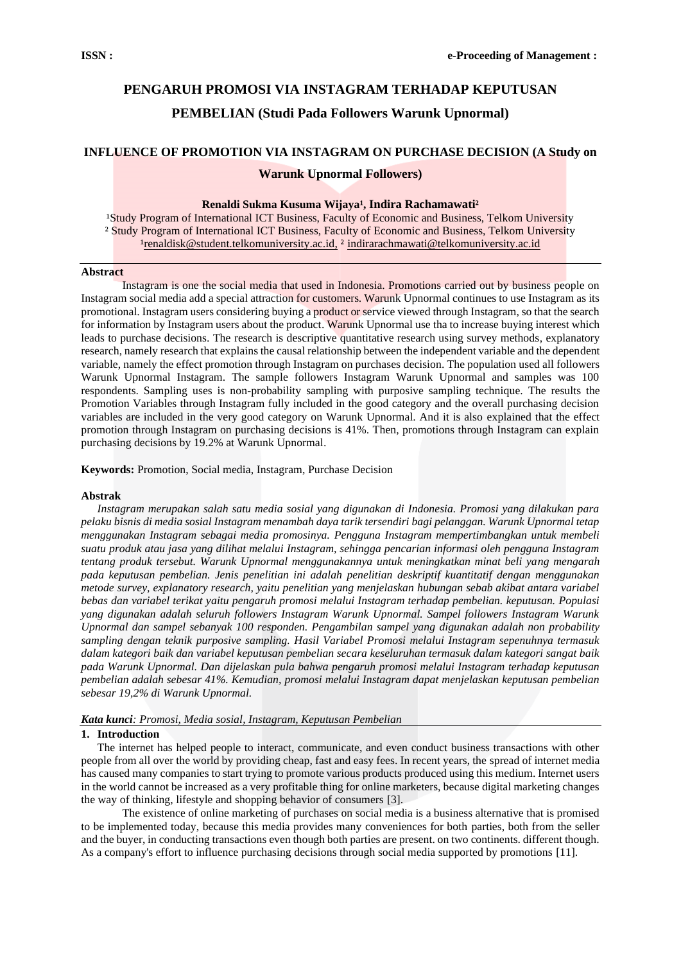## **PENGARUH PROMOSI VIA INSTAGRAM TERHADAP KEPUTUSAN PEMBELIAN (Studi Pada Followers Warunk Upnormal)**

## **INFLUENCE OF PROMOTION VIA INSTAGRAM ON PURCHASE DECISION (A Study on**

## **Warunk Upnormal Followers)**

#### Renaldi Sukma Kusuma Wijaya<sup>1</sup>, Indira Rachamawati<sup>2</sup>

<sup>1</sup>Study Program of International ICT Business, Faculty of Economic and Business, Telkom University ² Study Program of International ICT Business, Faculty of Economic and Business, Telkom University <sup>1</sup>renaldisk@student.telkomuniversity.ac.id, <sup>2</sup> indirarachmawati@telkomuniversity.ac.id

#### **Abstract**

Instagram is one the social media that used in Indonesia. Promotions carried out by business people on Instagram social media add a special attraction for customers. Warunk Upnormal continues to use Instagram as its promotional. Instagram users considering buying a product or service viewed through Instagram, so that the search for information by Instagram users about the product. Warunk Upnormal use that o increase buying interest which leads to purchase decisions. The research is descriptive quantitative research using survey methods, explanatory research, namely research that explains the causal relationship between the independent variable and the dependent variable, namely the effect promotion through Instagram on purchases decision. The population used all followers Warunk Upnormal Instagram. The sample followers Instagram Warunk Upnormal and samples was 100 respondents. Sampling uses is non-probability sampling with purposive sampling technique. The results the Promotion Variables through Instagram fully included in the good category and the overall purchasing decision variables are included in the very good category on Warunk Upnormal. And it is also explained that the effect promotion through Instagram on purchasing decisions is 41%. Then, promotions through Instagram can explain purchasing decisions by 19.2% at Warunk Upnormal.

## **Keywords:** Promotion, Social media, Instagram, Purchase Decision

## **Abstrak**

*Instagram merupakan salah satu media sosial yang digunakan di Indonesia. Promosi yang dilakukan para pelaku bisnis di media sosial Instagram menambah daya tarik tersendiri bagi pelanggan. Warunk Upnormal tetap menggunakan Instagram sebagai media promosinya. Pengguna Instagram mempertimbangkan untuk membeli suatu produk atau jasa yang dilihat melalui Instagram, sehingga pencarian informasi oleh pengguna Instagram tentang produk tersebut. Warunk Upnormal menggunakannya untuk meningkatkan minat beli yang mengarah pada keputusan pembelian. Jenis penelitian ini adalah penelitian deskriptif kuantitatif dengan menggunakan metode survey, explanatory research, yaitu penelitian yang menjelaskan hubungan sebab akibat antara variabel bebas dan variabel terikat yaitu pengaruh promosi melalui Instagram terhadap pembelian. keputusan. Populasi yang digunakan adalah seluruh followers Instagram Warunk Upnormal. Sampel followers Instagram Warunk Upnormal dan sampel sebanyak 100 responden. Pengambilan sampel yang digunakan adalah non probability sampling dengan teknik purposive sampling. Hasil Variabel Promosi melalui Instagram sepenuhnya termasuk dalam kategori baik dan variabel keputusan pembelian secara keseluruhan termasuk dalam kategori sangat baik pada Warunk Upnormal. Dan dijelaskan pula bahwa pengaruh promosi melalui Instagram terhadap keputusan pembelian adalah sebesar 41%. Kemudian, promosi melalui Instagram dapat menjelaskan keputusan pembelian sebesar 19,2% di Warunk Upnormal.*

## *Kata kunci: Promosi, Media sosial, Instagram, Keputusan Pembelian*

#### **1. Introduction**

The internet has helped people to interact, communicate, and even conduct business transactions with other people from all over the world by providing cheap, fast and easy fees. In recent years, the spread of internet media has caused many companies to start trying to promote various products produced using this medium. Internet users in the world cannot be increased as a very profitable thing for online marketers, because digital marketing changes the way of thinking, lifestyle and shopping behavior of consumers [3].

The existence of online marketing of purchases on social media is a business alternative that is promised to be implemented today, because this media provides many conveniences for both parties, both from the seller and the buyer, in conducting transactions even though both parties are present. on two continents. different though. As a company's effort to influence purchasing decisions through social media supported by promotions [11].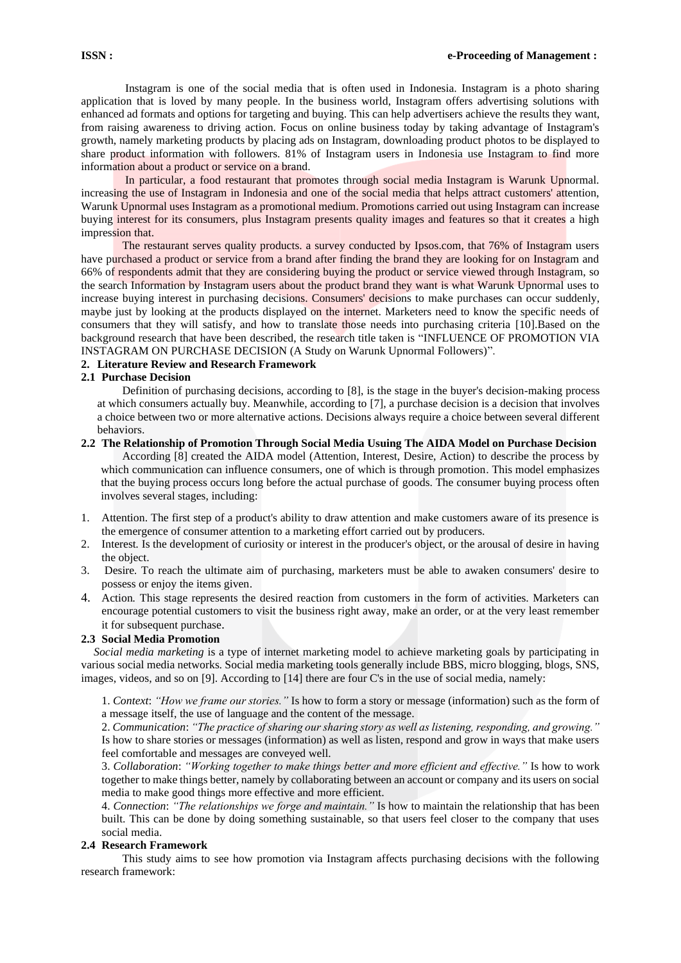Instagram is one of the social media that is often used in Indonesia. Instagram is a photo sharing application that is loved by many people. In the business world, Instagram offers advertising solutions with enhanced ad formats and options for targeting and buying. This can help advertisers achieve the results they want, from raising awareness to driving action. Focus on online business today by taking advantage of Instagram's growth, namely marketing products by placing ads on Instagram, downloading product photos to be displayed to share product information with followers. 81% of Instagram users in Indonesia use Instagram to find more information about a product or service on a brand.

In particular, a food restaurant that promotes through social media Instagram is Warunk Upnormal. increasing the use of Instagram in Indonesia and one of the social media that helps attract customers' attention, Warunk Upnormal uses Instagram as a promotional medium. Promotions carried out using Instagram can increase buying interest for its consumers, plus Instagram presents quality images and features so that it creates a high impression that.

The restaurant serves quality products. a survey conducted by Ipsos.com, that 76% of Instagram users have purchased a product or service from a brand after finding the brand they are looking for on Instagram and 66% of respondents admit that they are considering buying the product or service viewed through Instagram, so the search Information by Instagram users about the product brand they want is what Warunk Upnormal uses to increase buying interest in purchasing decisions. Consumers' decisions to make purchases can occur suddenly, maybe just by looking at the products displayed on the internet. Marketers need to know the specific needs of consumers that they will satisfy, and how to translate those needs into purchasing criteria [10].Based on the background research that have been described, the research title taken is "INFLUENCE OF PROMOTION VIA INSTAGRAM ON PURCHASE DECISION (A Study on Warunk Upnormal Followers)".

## **2. Literature Review and Research Framework**

## **2.1 Purchase Decision**

Definition of purchasing decisions, according to [8], is the stage in the buyer's decision-making process at which consumers actually buy. Meanwhile, according to [7], a purchase decision is a decision that involves a choice between two or more alternative actions. Decisions always require a choice between several different behaviors.

## **2.2 The Relationship of Promotion Through Social Media Usuing The AIDA Model on Purchase Decision** According [8] created the AIDA model (Attention, Interest, Desire, Action) to describe the process by which communication can influence consumers, one of which is through promotion. This model emphasizes that the buying process occurs long before the actual purchase of goods. The consumer buying process often involves several stages, including:

- 1. Attention. The first step of a product's ability to draw attention and make customers aware of its presence is the emergence of consumer attention to a marketing effort carried out by producers.
- 2. Interest*.* Is the development of curiosity or interest in the producer's object, or the arousal of desire in having the object.
- 3. Desire*.* To reach the ultimate aim of purchasing, marketers must be able to awaken consumers' desire to possess or enjoy the items given.
- 4. Action*.* This stage represents the desired reaction from customers in the form of activities. Marketers can encourage potential customers to visit the business right away, make an order, or at the very least remember it for subsequent purchase.

## **2.3 Social Media Promotion**

 *Social media marketing* is a type of internet marketing model to achieve marketing goals by participating in various social media networks. Social media marketing tools generally include BBS, micro blogging, blogs, SNS, images, videos, and so on [9]. According to [14] there are four C's in the use of social media, namely:

1. *Context*: *"How we frame our stories."* Is how to form a story or message (information) such as the form of a message itself, the use of language and the content of the message.

2. *Communication*: *"The practice of sharing our sharing story as well as listening, responding, and growing."*  Is how to share stories or messages (information) as well as listen, respond and grow in ways that make users feel comfortable and messages are conveyed well.

3. *Collaboration*: *"Working together to make things better and more efficient and effective."* Is how to work together to make things better, namely by collaborating between an account or company and its users on social media to make good things more effective and more efficient.

4. *Connection*: *"The relationships we forge and maintain."* Is how to maintain the relationship that has been built. This can be done by doing something sustainable, so that users feel closer to the company that uses social media.

## **2.4 Research Framework**

This study aims to see how promotion via Instagram affects purchasing decisions with the following research framework: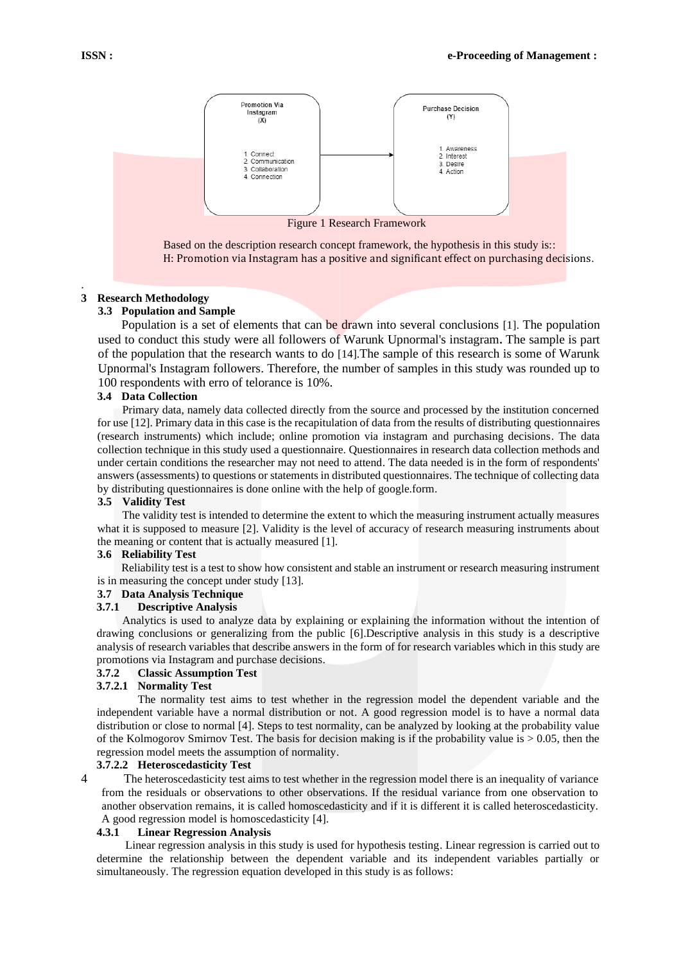

Based on the description research concept framework, the hypothesis in this study is:: H: Promotion via Instagram has a positive and significant effect on purchasing decisions.

## **3 Research Methodology**

#### **3.3 Population and Sample**

Population is a set of elements that can be drawn into several conclusions [1]. The population used to conduct this study were all followers of Warunk Upnormal's instagram**.** The sample is part of the population that the research wants to do [14].The sample of this research is some of Warunk Upnormal's Instagram followers. Therefore, the number of samples in this study was rounded up to 100 respondents with erro of telorance is 10%.

## **3.4 Data Collection**

Primary data, namely data collected directly from the source and processed by the institution concerned for use [12]. Primary data in this case is the recapitulation of data from the results of distributing questionnaires (research instruments) which include; online promotion via instagram and purchasing decisions. The data collection technique in this study used a questionnaire. Questionnaires in research data collection methods and under certain conditions the researcher may not need to attend. The data needed is in the form of respondents' answers (assessments) to questions or statements in distributed questionnaires. The technique of collecting data by distributing questionnaires is done online with the help of google.form.

#### **3.5 Validity Test**

The validity test is intended to determine the extent to which the measuring instrument actually measures what it is supposed to measure [2]. Validity is the level of accuracy of research measuring instruments about the meaning or content that is actually measured [1].

#### **3.6 Reliability Test**

Reliability test is a test to show how consistent and stable an instrument or research measuring instrument is in measuring the concept under study [13].

## **3.7 Data Analysis Technique**

#### **3.7.1 Descriptive Analysis**

Analytics is used to analyze data by explaining or explaining the information without the intention of drawing conclusions or generalizing from the public [6].Descriptive analysis in this study is a descriptive analysis of research variables that describe answers in the form of for research variables which in this study are promotions via Instagram and purchase decisions.

## **3.7.2 Classic Assumption Test**

## **3.7.2.1 Normality Test**

The normality test aims to test whether in the regression model the dependent variable and the independent variable have a normal distribution or not. A good regression model is to have a normal data distribution or close to normal [4]. Steps to test normality, can be analyzed by looking at the probability value of the Kolmogorov Smirnov Test. The basis for decision making is if the probability value is  $> 0.05$ , then the regression model meets the assumption of normality.

#### **3.7.2.2 Heteroscedasticity Test**

4 The heteroscedasticity test aims to test whether in the regression model there is an inequality of variance from the residuals or observations to other observations. If the residual variance from one observation to another observation remains, it is called homoscedasticity and if it is different it is called heteroscedasticity. A good regression model is homoscedasticity [4].

## **4.3.1 Linear Regression Analysis**

Linear regression analysis in this study is used for hypothesis testing. Linear regression is carried out to determine the relationship between the dependent variable and its independent variables partially or simultaneously. The regression equation developed in this study is as follows:

.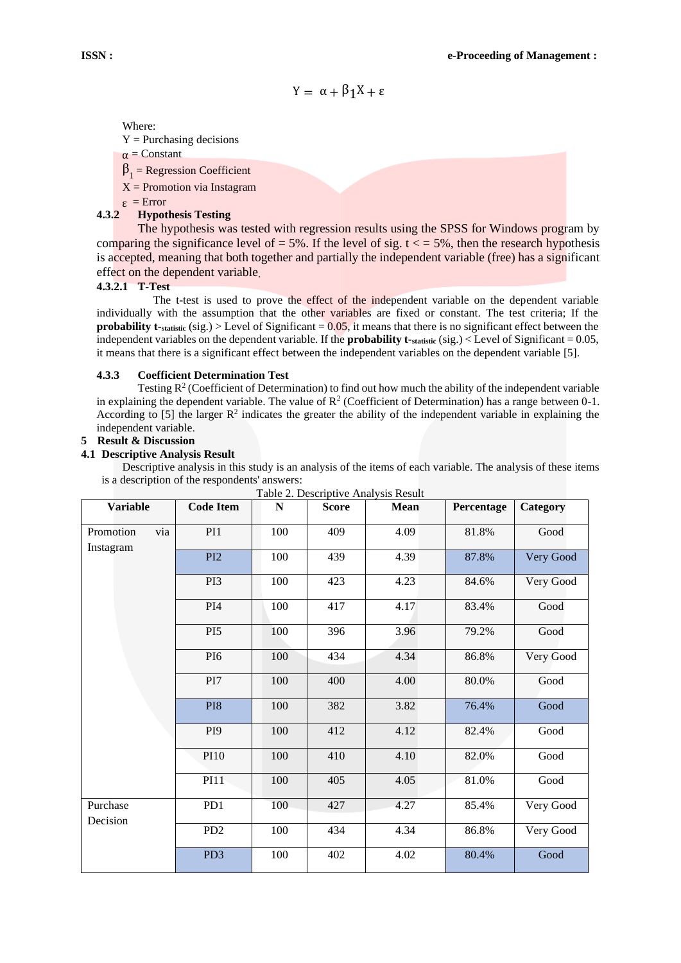$$
Y = \alpha + \beta_1 X + \epsilon
$$

Where:

 $Y =$  Purchasing decisions

 $\alpha$  = Constant

- $\beta_1$  = Regression Coefficient
- $X =$  Promotion via Instagram
- ε = Error

## **4.3.2 Hypothesis Testing**

The hypothesis was tested with regression results using the SPSS for Windows program by comparing the significance level of  $= 5\%$ . If the level of sig.  $t \le 5\%$ , then the research hypothesis is accepted, meaning that both together and partially the independent variable (free) has a significant effect on the dependent variable.

## **4.3.2.1 T-Test**

The t-test is used to prove the effect of the independent variable on the dependent variable individually with the assumption that the other variables are fixed or constant. The test criteria; If the **probability t-statistic** (sig.) > Level of Significant = 0.05, it means that there is no significant effect between the independent variables on the dependent variable. If the **probability t-statistic** (sig.) < Level of Significant = 0.05, it means that there is a significant effect between the independent variables on the dependent variable [5].

## **4.3.3 Coefficient Determination Test**

Testing  $R^2$  (Coefficient of Determination) to find out how much the ability of the independent variable in explaining the dependent variable. The value of  $\mathbb{R}^2$  (Coefficient of Determination) has a range between 0-1. According to [5] the larger  $\mathbb{R}^2$  indicates the greater the ability of the independent variable in explaining the independent variable.

## **5 Result & Discussion**

## **4.1 Descriptive Analysis Result**

Descriptive analysis in this study is an analysis of the items of each variable. The analysis of these items is a description of the respondents' answers:

| <b>Variable</b>               | <b>Code Item</b> | ${\bf N}$ | <b>Score</b> | <b>Mean</b> | Percentage | Category  |
|-------------------------------|------------------|-----------|--------------|-------------|------------|-----------|
| Promotion<br>via<br>Instagram | PI1              | 100       | 409          | 4.09        | 81.8%      | Good      |
|                               | PI <sub>2</sub>  | 100       | 439          | 4.39        | 87.8%      | Very Good |
|                               | PI3              | 100       | 423          | 4.23        | 84.6%      | Very Good |
|                               | PI4              | 100       | 417          | 4.17        | 83.4%      | Good      |
|                               | PI <sub>5</sub>  | 100       | 396          | 3.96        | 79.2%      | Good      |
|                               | PI <sub>6</sub>  | 100       | 434          | 4.34        | 86.8%      | Very Good |
|                               | PI7              | 100       | 400          | 4.00        | 80.0%      | Good      |
|                               | PI8              | 100       | 382          | 3.82        | 76.4%      | Good      |
|                               | PI <sub>9</sub>  | 100       | 412          | 4.12        | 82.4%      | Good      |
|                               | PI10             | 100       | 410          | 4.10        | 82.0%      | Good      |
|                               | <b>PI11</b>      | 100       | 405          | 4.05        | 81.0%      | Good      |
| Purchase<br>Decision          | PD1              | 100       | 427          | 4.27        | 85.4%      | Very Good |
|                               | PD <sub>2</sub>  | 100       | 434          | 4.34        | 86.8%      | Very Good |
|                               | PD <sub>3</sub>  | 100       | 402          | 4.02        | 80.4%      | Good      |

Table 2. Descriptive Analysis Result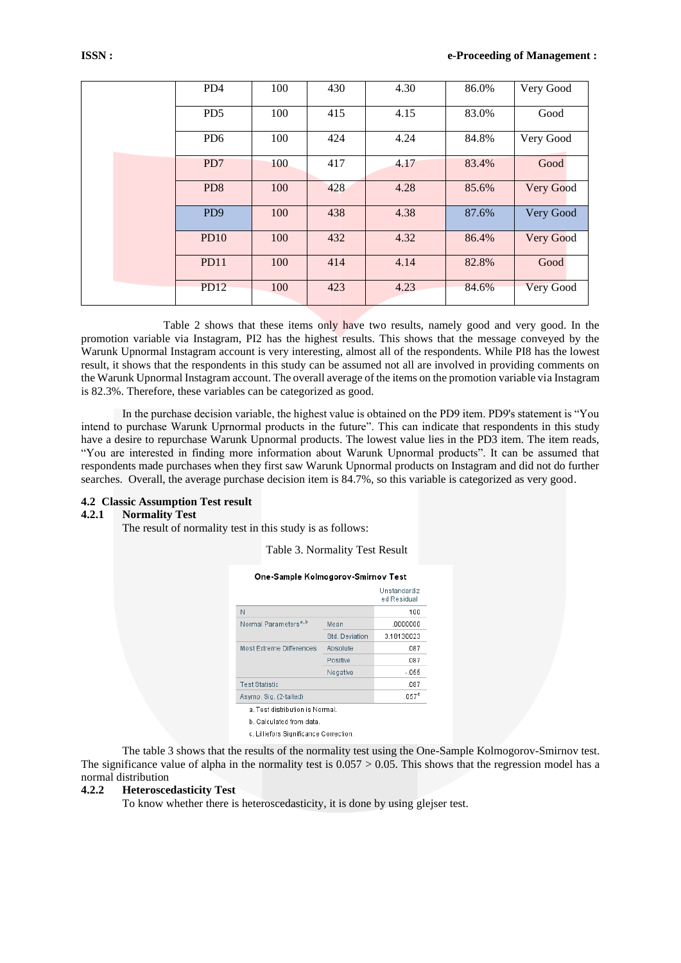| PD4             | 100 | 430 | 4.30 | 86.0% | Very Good        |
|-----------------|-----|-----|------|-------|------------------|
| PD <sub>5</sub> | 100 | 415 | 4.15 | 83.0% | Good             |
| PD <sub>6</sub> | 100 | 424 | 4.24 | 84.8% | Very Good        |
| PD7             | 100 | 417 | 4.17 | 83.4% | Good             |
| PD <sub>8</sub> | 100 | 428 | 4.28 | 85.6% | Very Good        |
| PD <sub>9</sub> | 100 | 438 | 4.38 | 87.6% | Very Good        |
| PD10            | 100 | 432 | 4.32 | 86.4% | Very Good        |
| <b>PD11</b>     | 100 | 414 | 4.14 | 82.8% | Good             |
| <b>PD12</b>     | 100 | 423 | 4.23 | 84.6% | <b>Very Good</b> |

Table 2 shows that these items only have two results, namely good and very good. In the promotion variable via Instagram, PI2 has the highest results. This shows that the message conveyed by the Warunk Upnormal Instagram account is very interesting, almost all of the respondents. While PI8 has the lowest result, it shows that the respondents in this study can be assumed not all are involved in providing comments on the Warunk Upnormal Instagram account. The overall average of the items on the promotion variable via Instagram is 82.3%. Therefore, these variables can be categorized as good.

In the purchase decision variable, the highest value is obtained on the PD9 item. PD9's statement is "You intend to purchase Warunk Uprnormal products in the future". This can indicate that respondents in this study have a desire to repurchase Warunk Upnormal products. The lowest value lies in the PD3 item. The item reads, "You are interested in finding more information about Warunk Upnormal products". It can be assumed that respondents made purchases when they first saw Warunk Upnormal products on Instagram and did not do further searches. Overall, the average purchase decision item is 84.7%, so this variable is categorized as very good.

## **4.2 Classic Assumption Test result**

## **4.2.1 Normality Test**

The result of normality test in this study is as follows:

Table 3. Normality Test Result

|                                   |                | Unstandardiz<br>ed Residual |
|-----------------------------------|----------------|-----------------------------|
| N                                 |                | 100                         |
| Normal Parameters <sup>a, b</sup> | Mean           | .0000000                    |
|                                   | Std. Deviation | 3.18130023                  |
| <b>Most Extreme Differences</b>   | Absolute       | .087                        |
|                                   | Positive       | .087                        |
|                                   | Negative       | $-055$                      |
| <b>Test Statistic</b>             |                | .087                        |
| Asymp. Sig. (2-tailed)            |                | .057 <sup>c</sup>           |

c. Lilliefors Significance Correction.

The table 3 shows that the results of the normality test using the One-Sample Kolmogorov-Smirnov test. The significance value of alpha in the normality test is  $0.057 > 0.05$ . This shows that the regression model has a normal distribution

#### **4.2.2 Heteroscedasticity Test**

To know whether there is heteroscedasticity, it is done by using glejser test.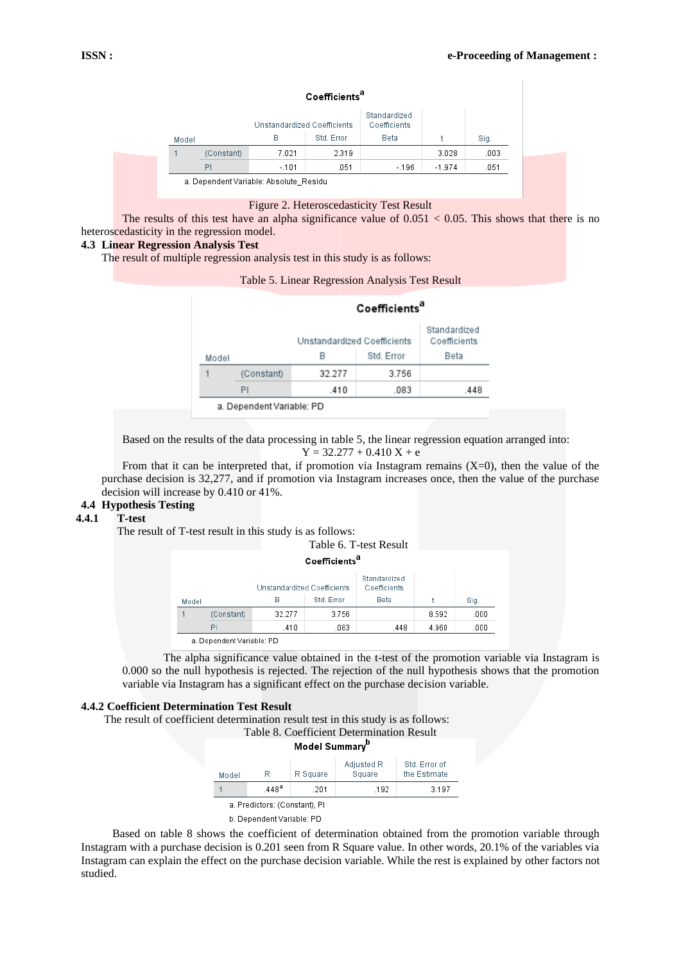|       |            | Unstandardized Coefficients |            | Standardized<br>Coefficients |          |      |
|-------|------------|-----------------------------|------------|------------------------------|----------|------|
| Model |            | B                           | Std. Error | Beta                         |          | Sig. |
|       | (Constant) | 7.021                       | 2.319      |                              | 3.028    | .003 |
|       | PI         | $-.101$                     | .051       | $-196$                       | $-1.974$ | .051 |

## Coefficients<sup>a</sup>

Figure 2. Heteroscedasticity Test Result

The results of this test have an alpha significance value of  $0.051 < 0.05$ . This shows that there is no heteroscedasticity in the regression model.

## **4.3 Linear Regression Analysis Test**

The result of multiple regression analysis test in this study is as follows:

Table 5. Linear Regression Analysis Test Result

Coefficiente<sup>a</sup>

|       |            | ------------                |            |                              |  |  |  |
|-------|------------|-----------------------------|------------|------------------------------|--|--|--|
|       |            | Unstandardized Coefficients |            | Standardized<br>Coefficients |  |  |  |
| Model |            | В                           | Std. Error | Beta                         |  |  |  |
|       | (Constant) | 32.277                      | 3.756      |                              |  |  |  |
|       | PI         | .410                        | .083       | .448                         |  |  |  |
|       |            |                             |            |                              |  |  |  |

a. Dependent Variable: PD

Based on the results of the data processing in table 5, the linear regression equation arranged into:  $Y = 32.277 + 0.410 X + e$ 

From that it can be interpreted that, if promotion via Instagram remains  $(X=0)$ , then the value of the purchase decision is 32,277, and if promotion via Instagram increases once, then the value of the purchase decision will increase by 0.410 or 41%.

# **4.4 Hypothesis Testing**

#### **4.4.1 T-test**

The result of T-test result in this study is as follows:

Table 6. T-test Result

Coefficients<sup>a</sup>

|       |            | Unstandardized Coefficients |            | Standardized<br>Coefficients |       |      |
|-------|------------|-----------------------------|------------|------------------------------|-------|------|
| Model |            | в                           | Std. Error | Beta                         |       | Siq. |
|       | (Constant) | 32.277                      | 3.756      |                              | 8.592 | .000 |
|       | PI         | .410                        | .083       | .448                         | 4.960 | .000 |

The alpha significance value obtained in the t-test of the promotion variable via Instagram is 0.000 so the null hypothesis is rejected. The rejection of the null hypothesis shows that the promotion variable via Instagram has a significant effect on the purchase decision variable.

## **4.4.2 Coefficient Determination Test Result**

The result of coefficient determination result test in this study is as follows: Table 8. Coefficient Determination Result



Based on table 8 shows the coefficient of determination obtained from the promotion variable through Instagram with a purchase decision is 0.201 seen from R Square value. In other words, 20.1% of the variables via Instagram can explain the effect on the purchase decision variable. While the rest is explained by other factors not studied.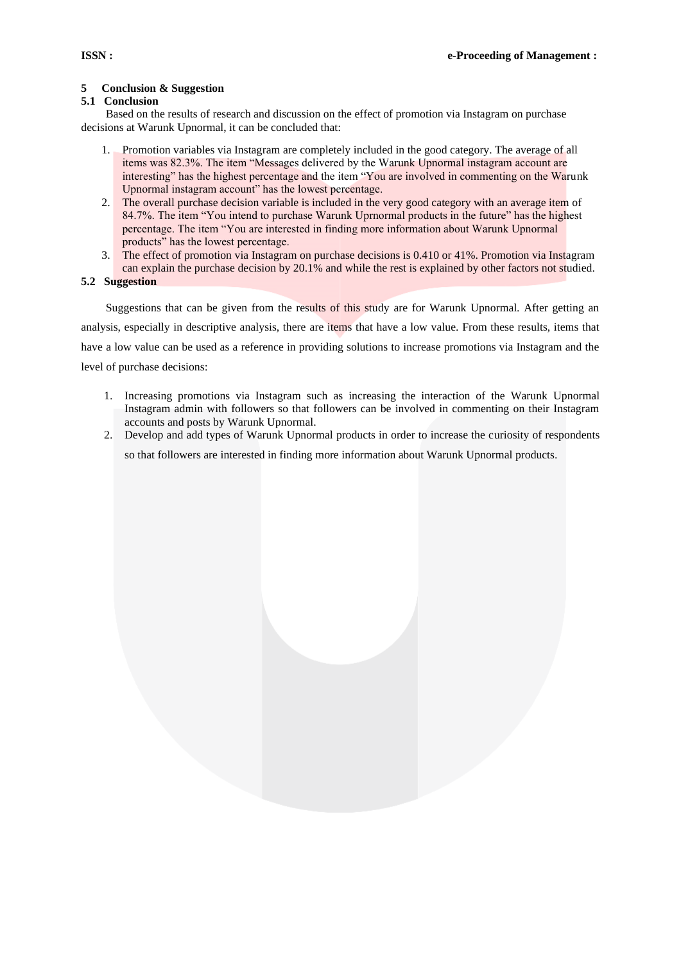## **5 Conclusion & Suggestion**

## **5.1 Conclusion**

Based on the results of research and discussion on the effect of promotion via Instagram on purchase decisions at Warunk Upnormal, it can be concluded that:

- 1. Promotion variables via Instagram are completely included in the good category. The average of all items was 82.3%. The item "Messages delivered by the Warunk Upnormal instagram account are interesting" has the highest percentage and the item "You are involved in commenting on the Warunk Upnormal instagram account" has the lowest percentage.
- 2. The overall purchase decision variable is included in the very good category with an average item of 84.7%. The item "You intend to purchase Warunk Uprnormal products in the future" has the highest percentage. The item "You are interested in finding more information about Warunk Upnormal products" has the lowest percentage.
- 3. The effect of promotion via Instagram on purchase decisions is 0.410 or 41%. Promotion via Instagram can explain the purchase decision by 20.1% and while the rest is explained by other factors not studied.

## **5.2 Suggestion**

Suggestions that can be given from the results of this study are for Warunk Upnormal. After getting an analysis, especially in descriptive analysis, there are items that have a low value. From these results, items that have a low value can be used as a reference in providing solutions to increase promotions via Instagram and the level of purchase decisions:

- 1. Increasing promotions via Instagram such as increasing the interaction of the Warunk Upnormal Instagram admin with followers so that followers can be involved in commenting on their Instagram accounts and posts by Warunk Upnormal.
- 2. Develop and add types of Warunk Upnormal products in order to increase the curiosity of respondents

so that followers are interested in finding more information about Warunk Upnormal products.